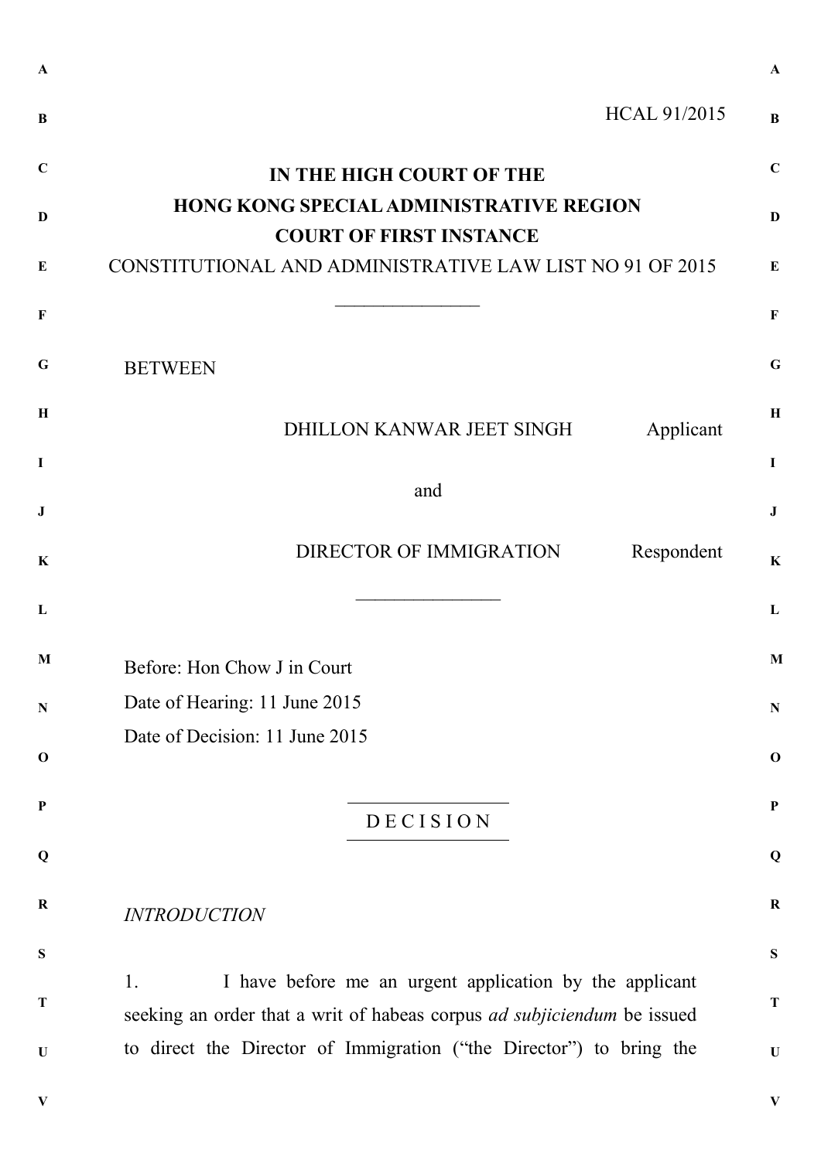| $\bf{B}$     | <b>HCAL 91/2015</b>                                                                                                                             | $\bf{B}$     |
|--------------|-------------------------------------------------------------------------------------------------------------------------------------------------|--------------|
| $\mathbf C$  | IN THE HIGH COURT OF THE                                                                                                                        | $\mathbf C$  |
| D            | <b>HONG KONG SPECIAL ADMINISTRATIVE REGION</b><br><b>COURT OF FIRST INSTANCE</b>                                                                | $\mathbf{D}$ |
| E            | CONSTITUTIONAL AND ADMINISTRATIVE LAW LIST NO 91 OF 2015                                                                                        | $\bf{E}$     |
| $\mathbf{F}$ |                                                                                                                                                 | $\mathbf F$  |
| G            | <b>BETWEEN</b>                                                                                                                                  | G            |
| $\mathbf H$  | DHILLON KANWAR JEET SINGH<br>Applicant                                                                                                          | $\mathbf H$  |
| $\mathbf I$  |                                                                                                                                                 | $\mathbf I$  |
| $\bf J$      | and                                                                                                                                             | $\bf J$      |
| K            | DIRECTOR OF IMMIGRATION<br>Respondent                                                                                                           | $\mathbf K$  |
| L            |                                                                                                                                                 | L            |
| M            | Before: Hon Chow J in Court                                                                                                                     | M            |
| ${\bf N}$    | Date of Hearing: 11 June 2015                                                                                                                   | $\mathbf N$  |
| $\mathbf 0$  | Date of Decision: 11 June 2015                                                                                                                  | $\mathbf 0$  |
| $\mathbf P$  | DECISION                                                                                                                                        | $\mathbf P$  |
| Q            |                                                                                                                                                 | Q            |
| $\bf R$      | <b>INTRODUCTION</b>                                                                                                                             | $\bf R$      |
| S            |                                                                                                                                                 | ${\bf S}$    |
| T            | I have before me an urgent application by the applicant<br>1.<br>seeking an order that a writ of habeas corpus <i>ad subjiciendum</i> be issued | $\mathbf T$  |
| $\mathbf U$  | to direct the Director of Immigration ("the Director") to bring the                                                                             | $\mathbf U$  |
|              |                                                                                                                                                 |              |

**V**

**A**

**V**

**A**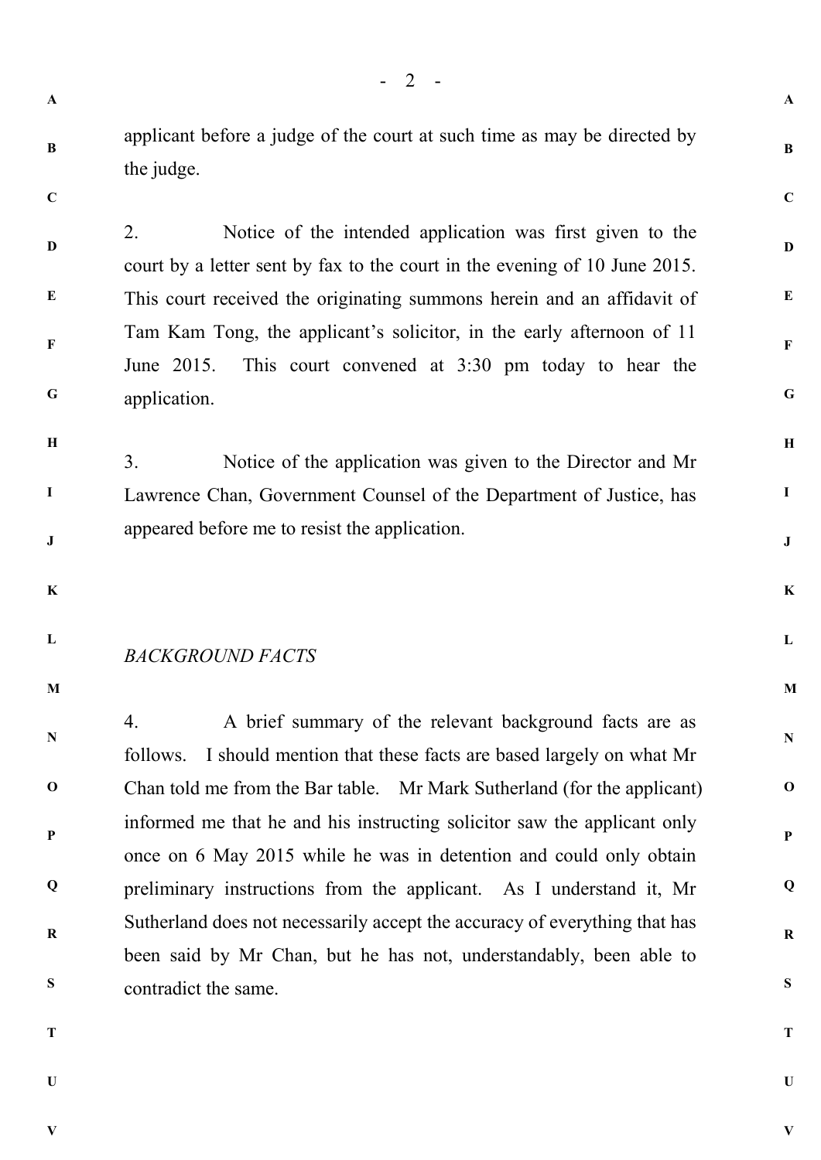**B**

applicant before a judge of the court at such time as may be directed by the judge.

**C**

**D**

**E**

**F**

**G**

**H**

**I**

**J**

2. Notice of the intended application was first given to the court by a letter sent by fax to the court in the evening of 10 June 2015. This court received the originating summons herein and an affidavit of Tam Kam Tong, the applicant's solicitor, in the early afternoon of 11 June 2015. This court convened at 3:30 pm today to hear the application.

3. Notice of the application was given to the Director and Mr Lawrence Chan, Government Counsel of the Department of Justice, has appeared before me to resist the application.

- **K**
- **L**

## *BACKGROUND FACTS*

**M**

**N**

**O**

**P**

**Q**

**R**

4. A brief summary of the relevant background facts are as follows. I should mention that these facts are based largely on what Mr Chan told me from the Bar table. Mr Mark Sutherland (for the applicant) informed me that he and his instructing solicitor saw the applicant only once on 6 May 2015 while he was in detention and could only obtain preliminary instructions from the applicant. As I understand it, Mr Sutherland does not necessarily accept the accuracy of everything that has been said by Mr Chan, but he has not, understandably, been able to contradict the same.

**T**

**S**

**U**

**V**

**A**

**B**

**C**

**D**

**E**

**F**

**G**

**H**

**I**

**J**

**K**

**L**

**M**

**N**

**O**

**P**

**Q**

**R**

**S**

**T**

**U**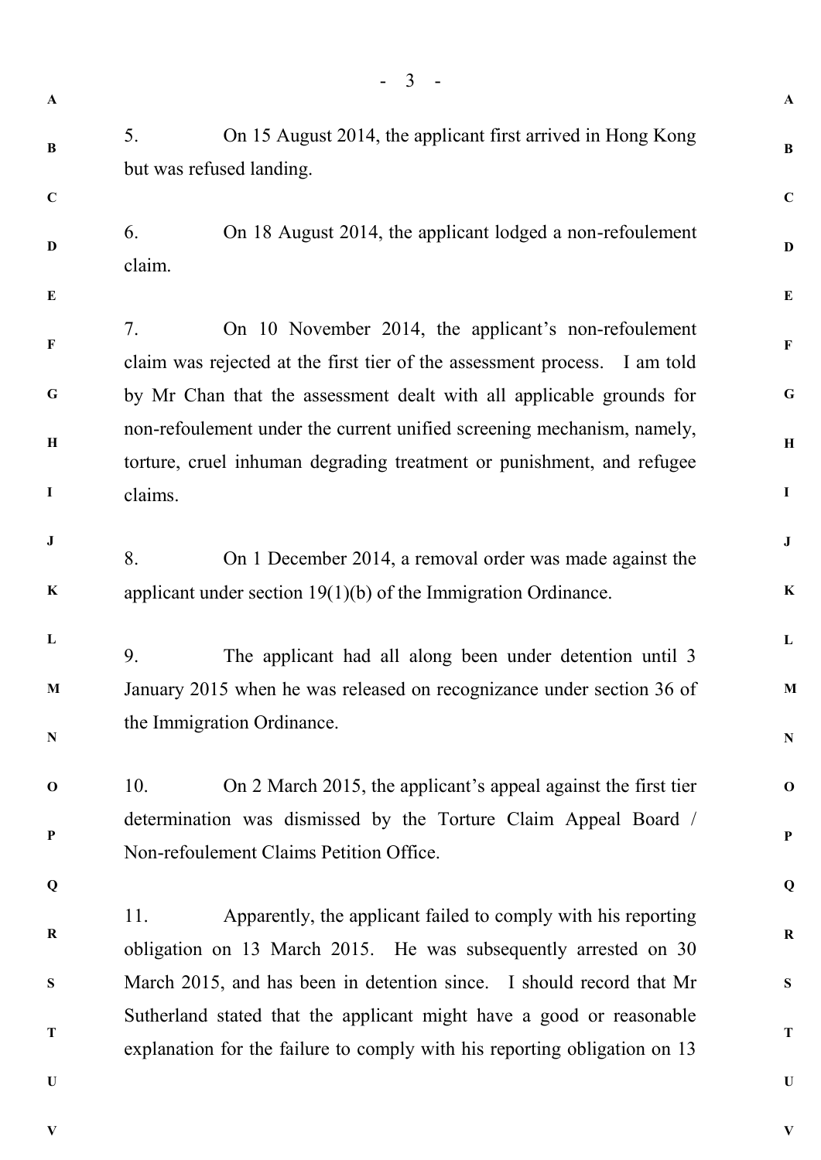- 3 - **A B C D E F G H I J K L M N O P Q R S T U A B C D E F G H I J K L M N O P Q R S T U** 5. On 15 August 2014, the applicant first arrived in Hong Kong but was refused landing. 6. On 18 August 2014, the applicant lodged a non-refoulement claim. 7. On 10 November 2014, the applicant's non-refoulement claim was rejected at the first tier of the assessment process. I am told by Mr Chan that the assessment dealt with all applicable grounds for non-refoulement under the current unified screening mechanism, namely, torture, cruel inhuman degrading treatment or punishment, and refugee claims. 8. On 1 December 2014, a removal order was made against the applicant under section 19(1)(b) of the Immigration Ordinance. 9. The applicant had all along been under detention until 3 January 2015 when he was released on recognizance under section 36 of the Immigration Ordinance. 10. On 2 March 2015, the applicant's appeal against the first tier determination was dismissed by the Torture Claim Appeal Board / Non-refoulement Claims Petition Office. 11. Apparently, the applicant failed to comply with his reporting obligation on 13 March 2015. He was subsequently arrested on 30 March 2015, and has been in detention since. I should record that Mr Sutherland stated that the applicant might have a good or reasonable explanation for the failure to comply with his reporting obligation on 13

**V**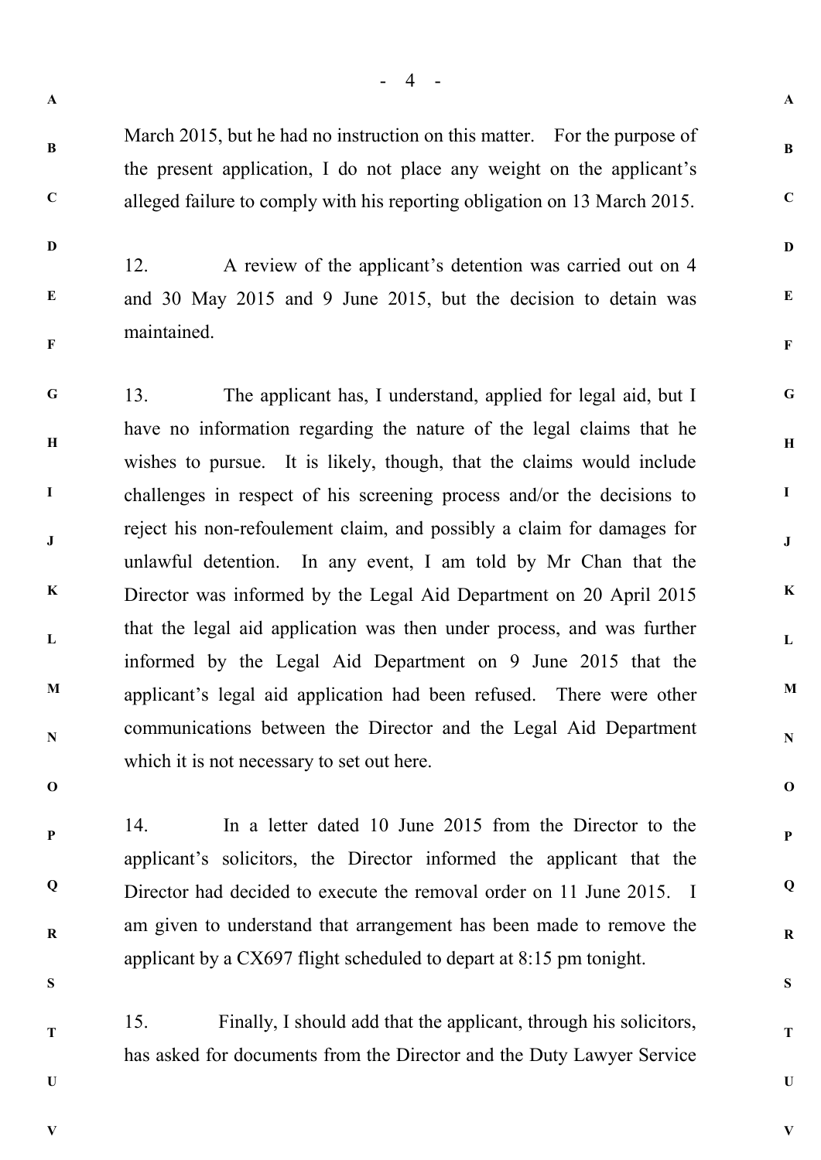**A**

**B**

**C**

**D**

**E**

**F**

**G**

**H**

**I**

**J**

**K**

**L**

**M**

**N**

**O**

**P**

**Q**

**R**

**S**

**T**

**U**

**V**

**C**

**D**

**E**

**F**

**B**

March 2015, but he had no instruction on this matter. For the purpose of the present application, I do not place any weight on the applicant's alleged failure to comply with his reporting obligation on 13 March 2015.

12. A review of the applicant's detention was carried out on 4 and 30 May 2015 and 9 June 2015, but the decision to detain was maintained.

**G H I J K L M N** 13. The applicant has, I understand, applied for legal aid, but I have no information regarding the nature of the legal claims that he wishes to pursue. It is likely, though, that the claims would include challenges in respect of his screening process and/or the decisions to reject his non-refoulement claim, and possibly a claim for damages for unlawful detention. In any event, I am told by Mr Chan that the Director was informed by the Legal Aid Department on 20 April 2015 that the legal aid application was then under process, and was further informed by the Legal Aid Department on 9 June 2015 that the applicant's legal aid application had been refused. There were other communications between the Director and the Legal Aid Department which it is not necessary to set out here.

**O**

**P Q**

**R**

**S**

**T**

**U**

14. In a letter dated 10 June 2015 from the Director to the applicant's solicitors, the Director informed the applicant that the Director had decided to execute the removal order on 11 June 2015. I am given to understand that arrangement has been made to remove the applicant by a CX697 flight scheduled to depart at 8:15 pm tonight.

15. Finally, I should add that the applicant, through his solicitors, has asked for documents from the Director and the Duty Lawyer Service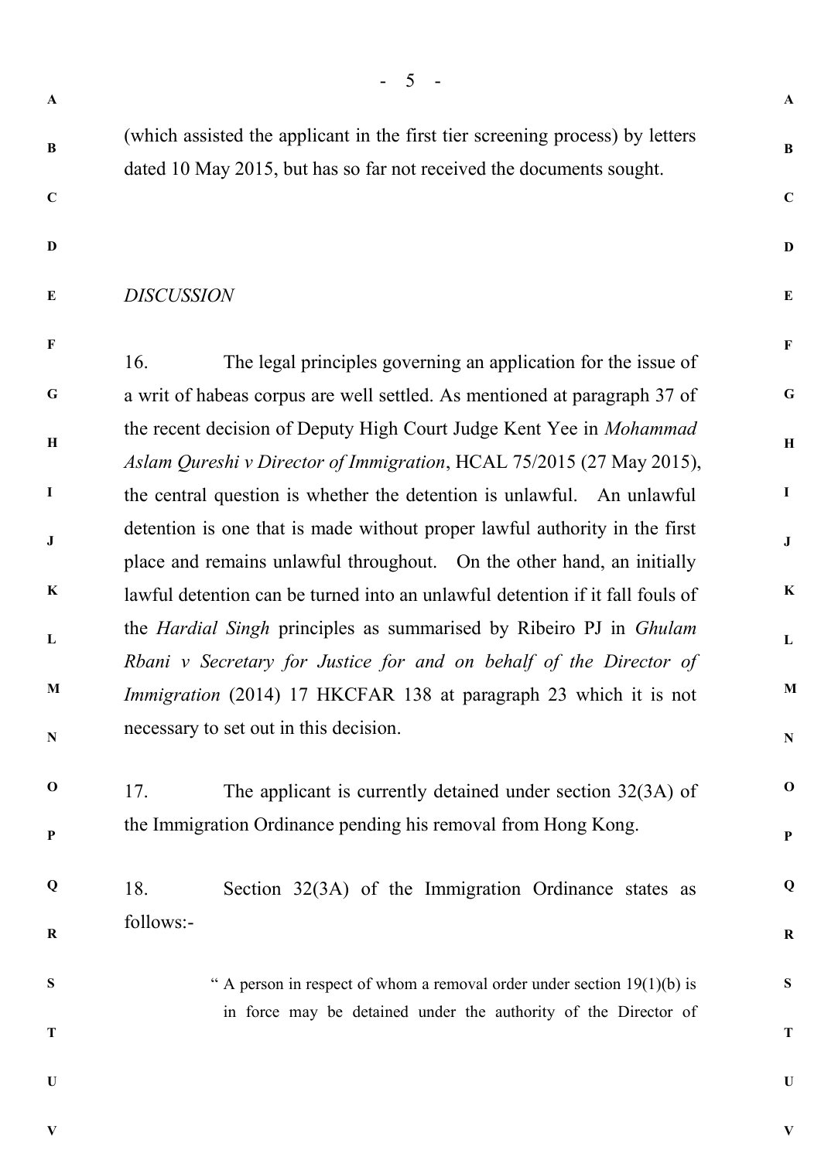**A**

**B**

**B**

(which assisted the applicant in the first tier screening process) by letters dated 10 May 2015, but has so far not received the documents sought.

**C**

**D**

**D**

**E**

**F**

**G**

**H**

**I**

**J**

**K**

**L**

**M**

**N**

**O**

**P**

**Q**

**R**

**S**

**T**

**C**

## **E** *DISCUSSION*

**F G H I J K L M N** 16. The legal principles governing an application for the issue of a writ of habeas corpus are well settled. As mentioned at paragraph 37 of the recent decision of Deputy High Court Judge Kent Yee in *Mohammad Aslam Qureshi v Director of Immigration*, HCAL 75/2015 (27 May 2015), the central question is whether the detention is unlawful. An unlawful detention is one that is made without proper lawful authority in the first place and remains unlawful throughout. On the other hand, an initially lawful detention can be turned into an unlawful detention if it fall fouls of the *Hardial Singh* principles as summarised by Ribeiro PJ in *Ghulam Rbani v Secretary for Justice for and on behalf of the Director of Immigration* (2014) 17 HKCFAR 138 at paragraph 23 which it is not necessary to set out in this decision.

**O P** 17. The applicant is currently detained under section 32(3A) of the Immigration Ordinance pending his removal from Hong Kong.

**Q R** 18. Section 32(3A) of the Immigration Ordinance states as follows:-

**S**

" A person in respect of whom a removal order under section  $19(1)(b)$  is in force may be detained under the authority of the Director of

**U**

**V**

**T**

**U**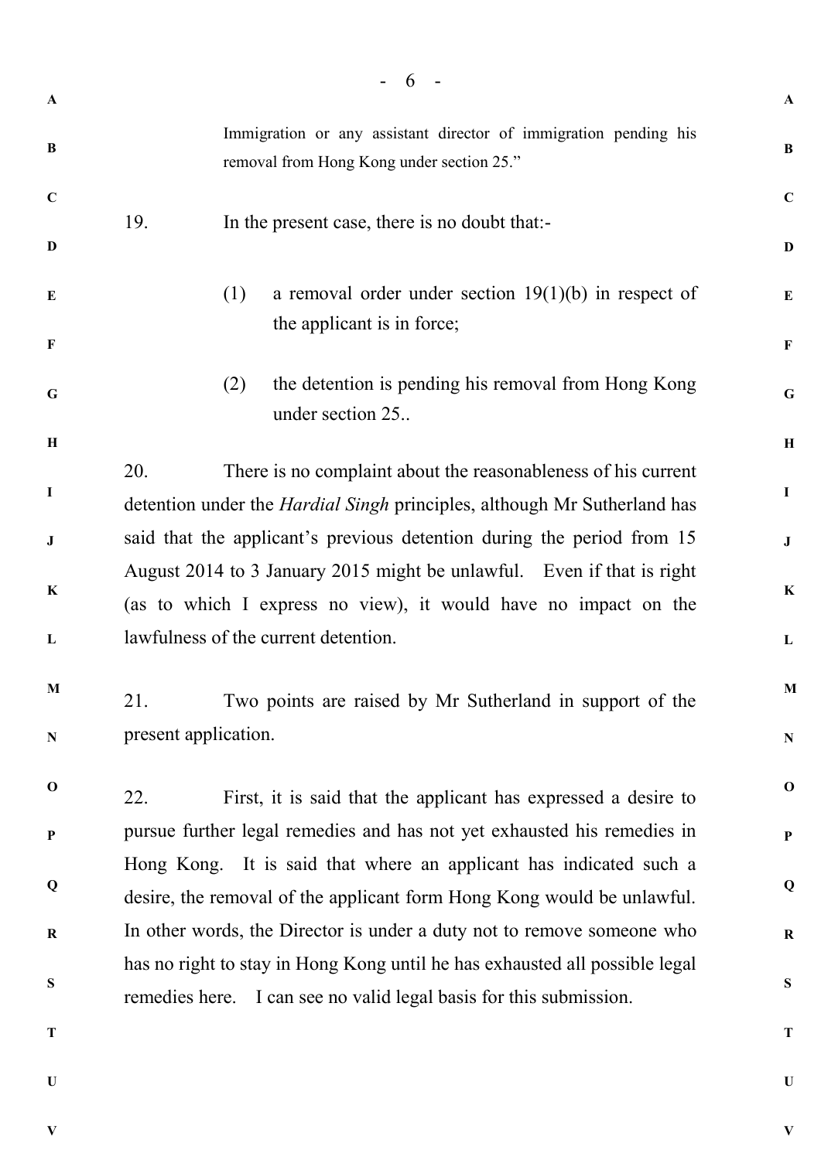|              | 6                                                                                                                                                       |              |
|--------------|---------------------------------------------------------------------------------------------------------------------------------------------------------|--------------|
| $\mathbf{A}$ |                                                                                                                                                         | $\mathbf{A}$ |
| B            | Immigration or any assistant director of immigration pending his<br>removal from Hong Kong under section 25."                                           | B            |
| $\mathbf C$  | 19.<br>In the present case, there is no doubt that:-                                                                                                    | $\mathbf C$  |
| D            |                                                                                                                                                         | $\mathbf{D}$ |
| E            | a removal order under section $19(1)(b)$ in respect of<br>(1)                                                                                           | E            |
| $\mathbf{F}$ | the applicant is in force;                                                                                                                              | F            |
| G            | the detention is pending his removal from Hong Kong<br>(2)<br>under section 25.                                                                         | $\mathbf G$  |
| $\, {\bf H}$ |                                                                                                                                                         | $\mathbf H$  |
| $\mathbf I$  | 20.<br>There is no complaint about the reasonableness of his current<br>detention under the <i>Hardial Singh</i> principles, although Mr Sutherland has | $\mathbf I$  |
| ${\bf J}$    | said that the applicant's previous detention during the period from 15                                                                                  | ${\bf J}$    |
| $\bf K$      | August 2014 to 3 January 2015 might be unlawful. Even if that is right                                                                                  | $\mathbf K$  |
|              | (as to which I express no view), it would have no impact on the                                                                                         |              |
| L            | lawfulness of the current detention.                                                                                                                    | $\mathbf L$  |
| M            | Two points are raised by Mr Sutherland in support of the<br>21.                                                                                         | M            |
| $\mathbf N$  | present application.                                                                                                                                    | ${\bf N}$    |
| $\mathbf 0$  | 22.<br>First, it is said that the applicant has expressed a desire to                                                                                   | $\mathbf 0$  |
| $\mathbf{P}$ | pursue further legal remedies and has not yet exhausted his remedies in                                                                                 | $\mathbf{P}$ |
| Q            | Hong Kong. It is said that where an applicant has indicated such a<br>desire, the removal of the applicant form Hong Kong would be unlawful.            | Q            |
| $\bf R$      | In other words, the Director is under a duty not to remove someone who                                                                                  | $\bf R$      |
|              | has no right to stay in Hong Kong until he has exhausted all possible legal                                                                             |              |
| S            | remedies here. I can see no valid legal basis for this submission.                                                                                      | ${\bf S}$    |
| T            |                                                                                                                                                         | T            |
| $\bf{U}$     |                                                                                                                                                         | $\mathbf U$  |

**V**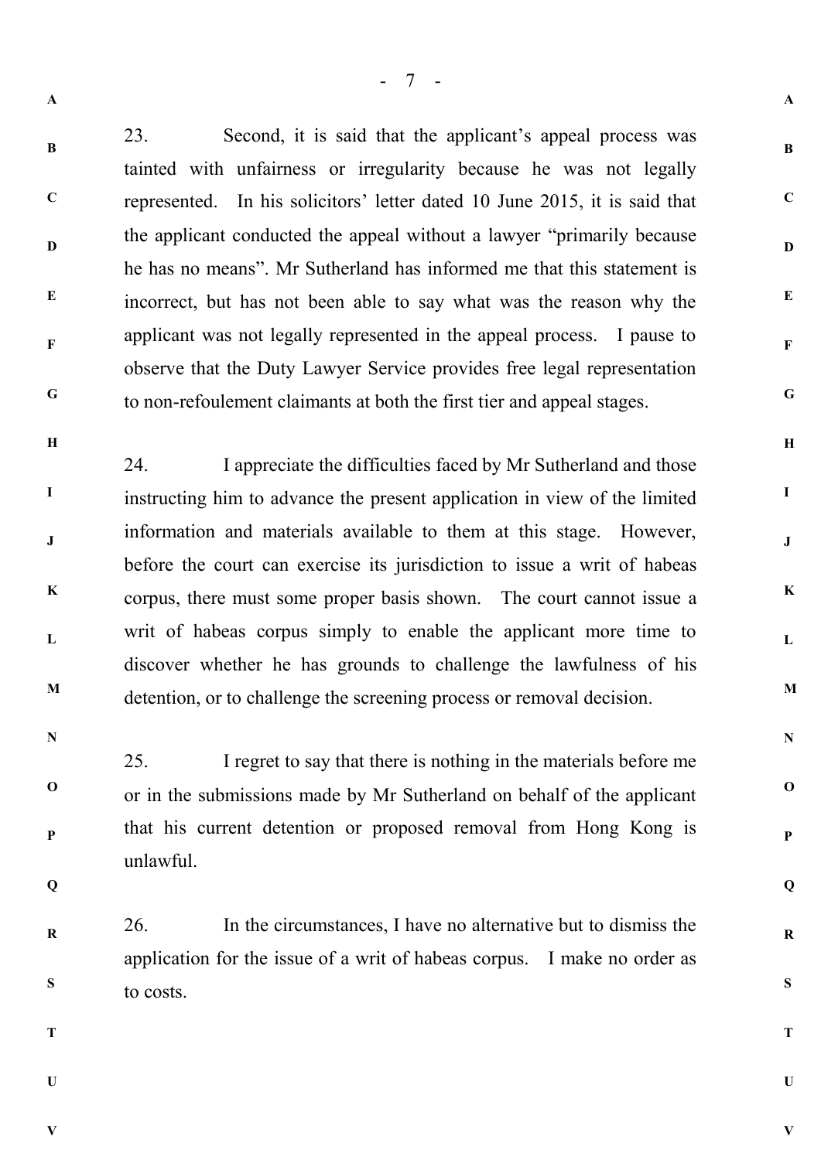**B**

**C**

**D**

**E**

**F**

**G**

**H**

23. Second, it is said that the applicant's appeal process was tainted with unfairness or irregularity because he was not legally

represented. In his solicitors' letter dated 10 June 2015, it is said that the applicant conducted the appeal without a lawyer "primarily because he has no means". Mr Sutherland has informed me that this statement is incorrect, but has not been able to say what was the reason why the applicant was not legally represented in the appeal process. I pause to observe that the Duty Lawyer Service provides free legal representation to non-refoulement claimants at both the first tier and appeal stages.

**I J K L M** 24. I appreciate the difficulties faced by Mr Sutherland and those instructing him to advance the present application in view of the limited information and materials available to them at this stage. However, before the court can exercise its jurisdiction to issue a writ of habeas corpus, there must some proper basis shown. The court cannot issue a writ of habeas corpus simply to enable the applicant more time to discover whether he has grounds to challenge the lawfulness of his detention, or to challenge the screening process or removal decision.

**N**

**O**

**P**

25. I regret to say that there is nothing in the materials before me or in the submissions made by Mr Sutherland on behalf of the applicant that his current detention or proposed removal from Hong Kong is unlawful.

**Q**

**R S** 26. In the circumstances, I have no alternative but to dismiss the application for the issue of a writ of habeas corpus. I make no order as to costs.

**T**

**U**

**V**

**U**

**V**

**A**

**B**

**C**

**D**

**E**

**F**

**G**

**H**

**I**

**J**

**K**

**L**

**M**

**N**

**O**

**P**

**Q**

**R**

**S**

**T**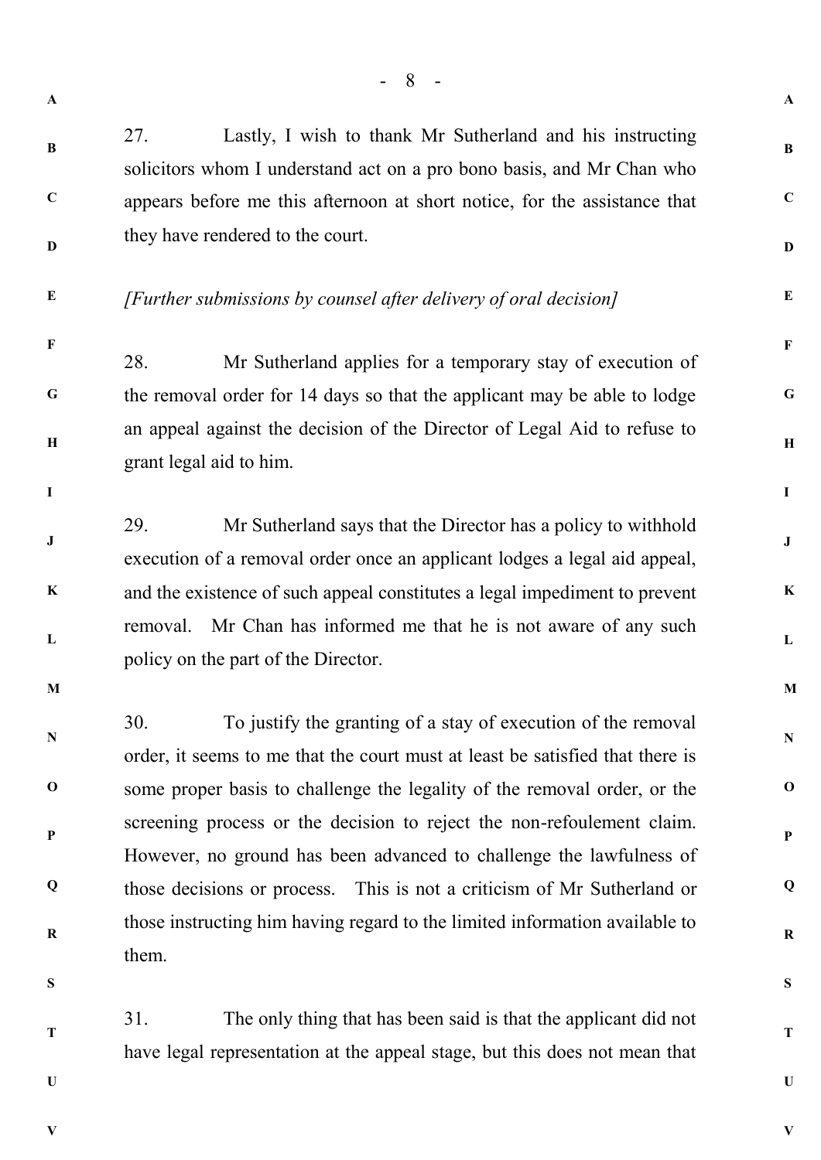**B**

**C**

27. Lastly, I wish to thank Mr Sutherland and his instructing solicitors whom I understand act on a pro bono basis, and Mr Chan who appears before me this afternoon at short notice, for the assistance that they have rendered to the court.

**E**

**F**

**I**

**D**

## *[Further submissions by counsel after delivery of oral decision]*

**G H** 28. Mr Sutherland applies for a temporary stay of execution of the removal order for 14 days so that the applicant may be able to lodge an appeal against the decision of the Director of Legal Aid to refuse to grant legal aid to him.

**J K L** 29. Mr Sutherland says that the Director has a policy to withhold execution of a removal order once an applicant lodges a legal aid appeal, and the existence of such appeal constitutes a legal impediment to prevent removal. Mr Chan has informed me that he is not aware of any such policy on the part of the Director.

**M**

**N**

**O**

**P**

**Q**

**R**

30. To justify the granting of a stay of execution of the removal order, it seems to me that the court must at least be satisfied that there is some proper basis to challenge the legality of the removal order, or the screening process or the decision to reject the non-refoulement claim. However, no ground has been advanced to challenge the lawfulness of those decisions or process. This is not a criticism of Mr Sutherland or those instructing him having regard to the limited information available to them.

**S**

**T**

31. The only thing that has been said is that the applicant did not have legal representation at the appeal stage, but this does not mean that

**U**

**V**

**V**

**U**

**A**

**B**

**C**

**D**

**E**

**F**

**G**

**H**

**I**

**J**

**K**

**L**

**M**

**N**

**O**

**P**

**Q**

**R**

**S**

**T**